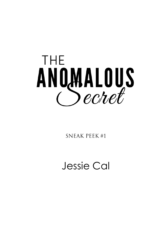

**SNEAK PEEK#1** 

Jessie Cal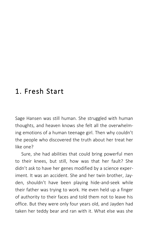## 1. Fresh Start

Sage Hansen was still human. She struggled with human thoughts, and heaven knows she felt all the overwhelming emotions of a human teenage girl. Then why couldn't the people who discovered the truth about her treat her like one?

Sure, she had abilities that could bring powerful men to their knees, but still, how was that her fault? She didn't ask to have her genes modified by a science experiment. It was an accident. She and her twin brother, Jayden, shouldn't have been playing hide-and-seek while their father was trying to work. He even held up a finger of authority to their faces and told them not to leave his office. But they were only four years old, and Jayden had taken her teddy bear and ran with it. What else was she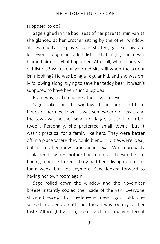supposed to do?

Sage sighed in the back seat of her parents' minivan as she glanced at her brother sitting by the other window. She watched as he played some strategy game on his tablet. Even though he didn't listen that night, she never blamed him for what happened. After all, what four-yearold listens? What four-year-old sits still when the parent isn't looking? He was being a regular kid, and she was only following along, trying to save her teddy bear. It wasn't supposed to have been such a big deal.

But it was, and it changed their lives forever.

Sage looked out the window at the shops and boutiques of her new town. It was somewhere in Texas, and the town was neither small nor large, but sort of in between. Personally, she preferred small towns, but it wasn't practical for a family like hers. They were better off in a place where they could blend in. Cities were ideal, but her mother knew someone in Texas. Which probably explained how her mother had found a job even before finding a house to rent. They had been living in a motel for a week, but not anymore. Sage looked forward to having her own room again.

Sage rolled down the window and the November breeze instantly cooled the inside of the van. Everyone shivered except for Jayden—he never got cold. She sucked in a deep breath, but the air was too dry for her taste. Although by then, she'd lived in so many different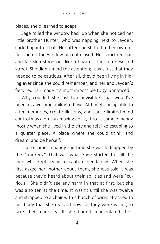places, she'd learned to adapt.

Sage rolled the window back up when she noticed her little brother Hunter, who was napping next to Jayden, curled up into a ball. Her attention shifted to her own reflection on the window once it closed. Her short red hair and fair skin stood out like a hazard cone in a deserted street. She didn't mind the attention; it was just that they needed to be cautious. After all, they'd been living in hiding ever since she could remember, and her and Jayden's fiery red hair made it almost impossible to go unnoticed.

Why couldn't she just turn invisible? That would've been an awesome ability to have. Although, being able to alter memories, create illusions, and cause limited mind control was a pretty amazing ability, too. It came in handy mostly when she lived in the city and felt like escaping to a quieter place. A place where she could think, and dream, and be herself.

It also came in handy the time she was kidnapped by the "trackers." That was what Sage started to call the men who kept trying to capture her family. When she first asked her mother about them, she was told it was because they'd heard about their abilities and were "curious." She didn't see any harm in that at first, but she was also ten at the time. It wasn't until she was twelve and strapped to a chair with a bunch of wires attached to her body that she realized how far they were willing to take their curiosity. If she hadn't manipulated their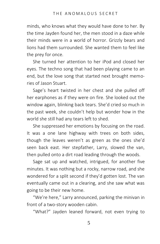minds, who knows what they would have done to her. By the time Jayden found her, the men stood in a daze while their minds were in a world of horror. Grizzly bears and lions had them surrounded. She wanted them to feel like the prey for once.

She turned her attention to her iPod and closed her eyes. The techno song that had been playing came to an end, but the love song that started next brought memories of Jason Stuart.

Sage's heart twisted in her chest and she pulled off her earphones as if they were on fire. She looked out the window again, blinking back tears. She'd cried so much in the past week, she couldn't help but wonder how in the world she still had any tears left to shed.

She suppressed her emotions by focusing on the road. It was a one lane highway with trees on both sides, though the leaves weren't as green as the ones she'd seen back east. Her stepfather, Larry, slowed the van, then pulled onto a dirt road leading through the woods.

Sage sat up and watched, intrigued, for another five minutes. It was nothing but a rocky, narrow road, and she wondered for a split second if they'd gotten lost. The van eventually came out in a clearing, and she saw what was going to be their new home.

"We're here," Larry announced, parking the minivan in front of a two-story wooden cabin.

"What?" Jayden leaned forward, not even trying to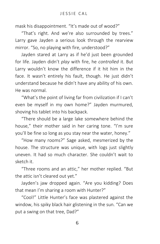mask his disappointment. "It's made out of wood?"

"That's right. And we're also surrounded by trees." Larry gave Jayden a serious look through the rearview mirror. "So, no playing with fire, understood?"

Jayden stared at Larry as if he'd just been grounded for life. Jayden didn't *play* with fire, he *controlled* it. But Larry wouldn't know the difference if it hit him in the face. It wasn't entirely his fault, though. He just didn't understand because he didn't have any ability of his own. He was normal.

"What's the point of living far from civilization if I can't even be myself in my own home?" Jayden murmured, shoving his tablet into his backpack.

"There should be a large lake somewhere behind the house," their mother said in her caring tone. "I'm sure you'll be fine so long as you stay near the water, honey."

"How many rooms?" Sage asked, mesmerized by the house. The structure was unique, with logs just slightly uneven. It had so much character. She couldn't wait to sketch it.

"Three rooms and an attic," her mother replied. "But the attic isn't cleared out yet."

Jayden's jaw dropped again. "Are you kidding? Does that mean I'm sharing a room with Hunter?"

"Cool!" Little Hunter's face was plastered against the window, his spiky black hair glistening in the sun. "Can we put a swing on that tree, Dad?"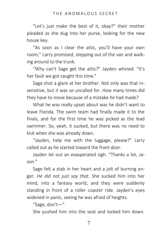"Let's just make the best of it, okay?" their mother pleaded as she dug into her purse, looking for the new house key.

"As soon as I clear the attic, you'll have your own room," Larry promised, stepping out of the van and walking around to the trunk.

"Why can't Sage get the attic?" Jayden whined. "It's her fault we got caught this time."

Sage shot a glare at her brother. Not only was that insensitive, but it was *so* uncalled for. How many times did they have to move because of a mistake *he* had made?

What he was really upset about was he didn't want to leave Florida. The swim team had finally made it to the finals, and for the first time he was picked as the lead swimmer. So, yeah, it sucked, but there was no need to kick when she was already down.

"Jayden, help me with the luggage, please?" Larry called out as he started toward the front door.

Jayden let out an exasperated sigh. "Thanks a lot, *Jason*."

Sage felt a stab in her heart and a jolt of burning anger. *He did not just say that.* She sucked him into her mind, into a fantasy world, and they were suddenly standing in front of a roller coaster ride. Jayden's eyes widened in panic, seeing he was afraid of heights.

"Sage, don't—"

She pushed him into the seat and locked him down.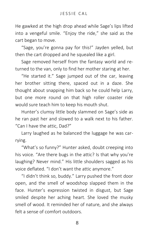He gawked at the high drop ahead while Sage's lips lifted into a vengeful smile. "Enjoy the ride," she said as the cart began to move.

"Sage, you're gonna pay for this!" Jayden yelled, but then the cart dropped and he squealed like a girl.

Sage removed herself from the fantasy world and returned to the van, only to find her mother staring at her.

"He started it." Sage jumped out of the car, leaving her brother sitting there, spaced out in a daze. She thought about snapping him back so he could help Larry, but one more round on that high roller coaster ride would sure teach him to keep his mouth shut.

Hunter's clumsy little body slammed on Sage's side as he ran past her and slowed to a walk next to his father. "Can I have the attic, Dad?"

Larry laughed as he balanced the luggage he was carrying.

"What's so funny?" Hunter asked, doubt creeping into his voice. "Are there bugs in the attic? Is that why you're laughing? Never mind." His little shoulders sagged as his voice deflated. "I don't want the attic anymore."

"I didn't think so, buddy." Larry pushed the front door open, and the smell of woodshop slapped them in the face. Hunter's expression twisted in disgust, but Sage smiled despite her aching heart. She loved the musky smell of wood. It reminded her of nature, and she always felt a sense of comfort outdoors.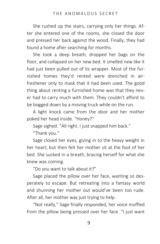She rushed up the stairs, carrying only her things. After she entered one of the rooms, she closed the door and pressed her back against the wood. Finally, they had found a home after searching for months.

She took a deep breath, dropped her bags on the floor, and collapsed on her new bed. It smelled new like it had just been pulled out of its wrapper. Most of the furnished homes they'd rented were drenched in airfreshener only to mask that it had been used. The good thing about renting a furnished home was that they never had to carry much with them. They couldn't afford to be bogged down by a moving truck while on the run.

A light knock came from the door and her mother poked her head inside. "Honey?"

Sage sighed. "All right. I just snapped him back."

"Thank you."

Sage closed her eyes, giving in to the heavy weight in her heart, but then felt her mother sit at the foot of her bed. She sucked in a breath, bracing herself for what she knew was coming.

"Do you want to talk about it?"

Sage placed the pillow over her face, wanting so desperately to escape. But retreating into a fantasy world and shunning her mother out would've been too rude. After all, her mother was just trying to help.

"Not really," Sage finally responded, her voice muffled from the pillow being pressed over her face. "I just want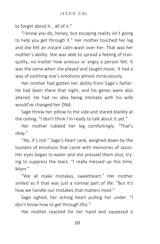to forget about it… all of it."

"I know you do, honey, but escaping reality isn't going to help you get through it." Her mother touched her leg and she felt an instant calm wash over her. That was her mother's ability. She was able to spread a feeling of tranquility, no matter how anxious or angry a person felt. It was the same when she played and taught music. It had a way of soothing one's emotions almost miraculously.

Her mother had gotten her ability from Sage's father. He had been there that night, and his genes were also altered. He had no idea being intimate with his wife would've changed her DNA.

Sage threw her pillow to the side and stared blankly at the ceiling. "I don't think I'm ready to talk about it yet."

Her mother rubbed her leg comfortingly. "That's okay."

"No, it's not." Sage's heart sank, weighed down by the tsunami of emotions that came with memories of Jason. Her eyes began to water and she pressed them shut, trying to suppress the tears. "I really messed up this time, Mom."

"We all make mistakes, sweetheart." Her mother smiled as if that was just a normal part of life. "But it's how we handle our mistakes that matters most."

Sage sighed, her aching heart pulling her under. "I don't know how to get through this."

Her mother reached for her hand and squeezed it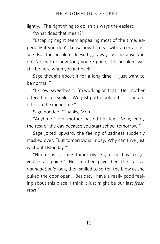lightly. "The right thing to do isn't always the easiest."

"What does that mean?"

"Escaping might seem appealing most of the time, especially if you don't know how to deal with a certain issue. But the problem doesn't go away just because you do. No matter how long you're gone, the problem will still be here when you get back."

Sage thought about it for a long time. "I just want to be normal."

"I know, sweetheart. I'm working on that." Her mother offered a soft smile. "We just gotta look out for one another in the meantime."

Sage nodded. "Thanks, Mom."

"Anytime." Her mother patted her leg. "Now, enjoy the rest of the day because you start school tomorrow."

Sage jolted upward, the feeling of sadness suddenly masked over. "But tomorrow is Friday. Why can't we just wait until Monday?"

"Hunter is starting tomorrow. So, if he has to go, you're all going." Her mother gave her the *this-isnonnegotiable* look, then smiled to soften the blow as she pulled the door open. "Besides, I have a really good feeling about this place. I think it just might be our last *fresh start*."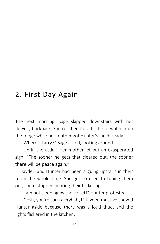## 2. First Day Again

The next morning, Sage skipped downstairs with her flowery backpack. She reached for a bottle of water from the fridge while her mother got Hunter's lunch ready.

"Where's Larry?" Sage asked, looking around.

"Up in the attic." Her mother let out an exasperated sigh. "The sooner he gets that cleared out, the sooner there will be peace again."

Jayden and Hunter had been arguing upstairs in their room the whole time. She got so used to tuning them out, she'd stopped hearing their bickering.

"I am not sleeping by the closet!" Hunter protested.

"Gosh, you're such a crybaby!" Jayden must've shoved Hunter aside because there was a loud thud, and the lights flickered in the kitchen.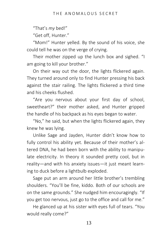"That's *my* bed!"

"Get off, Hunter."

"Mom!" Hunter yelled. By the sound of his voice, she could tell he was on the verge of crying.

Their mother zipped up the lunch box and sighed. "I am going to kill your brother."

On their way out the door, the lights flickered again. They turned around only to find Hunter pressing his back against the stair railing. The lights flickered a third time and his cheeks flushed.

"Are you nervous about your first day of school, sweetheart?" their mother asked, and Hunter gripped the handle of his backpack as his eyes began to water.

"No," he said, but when the lights flickered again, they knew he was lying.

Unlike Sage and Jayden, Hunter didn't know how to fully control his ability yet. Because of their mother's altered DNA, he had been born with the ability to manipulate electricity. In theory it sounded pretty cool, but in reality—and with his anxiety issues—it just meant learning to duck before a lightbulb exploded.

Sage put an arm around her little brother's trembling shoulders. "You'll be fine, kiddo. Both of our schools are on the same grounds." She nudged him encouragingly. "If you get too nervous, just go to the office and call for me."

He glanced up at his sister with eyes full of tears. "You would really come?"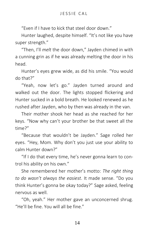"Even if I have to kick that steel door down."

Hunter laughed, despite himself. "It's not like you have super strength."

"Then, I'll *melt* the door down," Jayden chimed in with a cunning grin as if he was already melting the door in his head.

Hunter's eyes grew wide, as did his smile. "You would do that?"

"Yeah, now let's go." Jayden turned around and walked out the door. The lights stopped flickering and Hunter sucked in a bold breath. He looked renewed as he rushed after Jayden, who by then was already in the van.

Their mother shook her head as she reached for her keys. "Now why can't your brother be that sweet all the time?"

"Because that wouldn't be Jayden." Sage rolled her eyes. "Hey, Mom. Why don't you just use your ability to calm Hunter down?"

"If I do that every time, he's never gonna learn to control his ability on his own."

She remembered her mother's motto: *The right thing to do wasn't always the easiest*. It made sense. "Do you think Hunter's gonna be okay today?" Sage asked, feeling nervous as well.

"Oh, yeah." Her mother gave an unconcerned shrug. "He'll be fine. You will all be fine."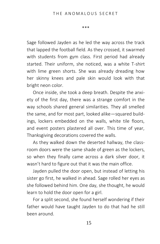\*\*\*

Sage followed Jayden as he led the way across the track that lapped the football field. As they crossed, it swarmed with students from gym class. First period had already started. Their uniform, she noticed, was a white T-shirt with lime green shorts. She was already dreading how her skinny knees and pale skin would look with that bright neon color.

Once inside, she took a deep breath. Despite the anxiety of the first day, there was a strange comfort in the way schools shared general similarities. They all smelled the same, and for most part, looked alike—squared buildings, lockers embedded on the walls, white tile floors, and event posters plastered all over. This time of year, Thanksgiving decorations covered the walls.

As they walked down the deserted hallway, the classroom doors were the same shade of green as the lockers, so when they finally came across a dark silver door, it wasn't hard to figure out that it was the main office.

Jayden pulled the door open, but instead of letting his sister go first, he walked in ahead. Sage rolled her eyes as she followed behind him. One day, she thought, he would learn to hold the door open for a girl.

For a split second, she found herself wondering if their father would have taught Jayden to do that had he still been around.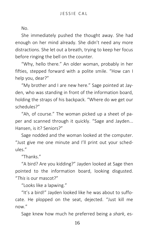No.

She immediately pushed the thought away. She had enough on her mind already. She didn't need any more distractions. She let out a breath, trying to keep her focus before ringing the bell on the counter.

"Why, hello there." An older woman, probably in her fifties, stepped forward with a polite smile. "How can I help you, dear?"

"My brother and I are new here." Sage pointed at Jayden, who was standing in front of the information board, holding the straps of his backpack. "Where do we get our schedules?"

"Ah, of course." The woman picked up a sheet of paper and scanned through it quickly. "Sage and Jayden... Hansen, is it? Seniors?"

Sage nodded and the woman looked at the computer. "Just give me one minute and I'll print out your schedules."

"Thanks."

"A bird? Are you kidding?" Jayden looked at Sage then pointed to the information board, looking disgusted. "*This* is our mascot?"

"Looks like a lapwing."

"It's a bird!" Jayden looked like he was about to suffocate. He plopped on the seat, dejected. "Just kill me now."

Sage knew how much he preferred being a *shark*, es-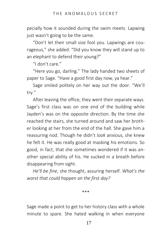pecially how it sounded during the swim meets. Lapwing just wasn't going to be the same.

"Don't let their small size fool you. Lapwings are courageous," she added. "Did you know they will stand up to an elephant to defend their young?"

"I don't care."

"Here you go, darling." The lady handed two sheets of paper to Sage. "Have a good first day now, ya hear."

Sage smiled politely on her way out the door. "We'll try."

After leaving the office, they went their separate ways. Sage's first class was on one end of the building while Jayden's was on the opposite direction. By the time she reached the stairs, she turned around and saw her brother looking at her from the end of the hall. She gave him a reassuring nod. Though he didn't *look* anxious, she knew he felt it. He was really good at masking his emotions. So good, in fact, that she sometimes wondered if it was another special ability of his. He sucked in a breath before disappearing from sight.

*He'll be fine*, she thought, assuring herself. *What's the worst that could happen on the first day?*

\*\*\*

Sage made a point to get to her history class with a whole minute to spare. She hated walking in when everyone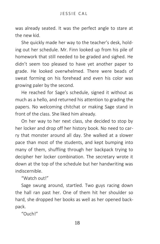was already seated. It was the perfect angle to stare at the new kid.

She quickly made her way to the teacher's desk, holding out her schedule. Mr. Finn looked up from his pile of homework that still needed to be graded and sighed. He didn't seem too pleased to have yet another paper to grade. He looked overwhelmed. There were beads of sweat forming on his forehead and even his color was growing paler by the second.

He reached for Sage's schedule, signed it without as much as a hello, and returned his attention to grading the papers. No welcoming chitchat or making Sage stand in front of the class. She liked him already.

On her way to her next class, she decided to stop by her locker and drop off her history book. No need to carry that monster around all day. She walked at a slower pace than most of the students, and kept bumping into many of them, shuffling through her backpack trying to decipher her locker combination. The secretary wrote it down at the top of the schedule but her handwriting was indiscernible.

"Watch out!"

Sage swung around, startled. Two guys racing down the hall ran past her. One of them hit her shoulder so hard, she dropped her books as well as her opened backpack.

"Ouch!"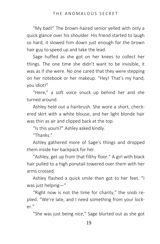"My bad!" The brown-haired senior yelled with only a quick glance over his shoulder. His friend started to laugh so hard, it slowed him down just enough for the brown hair guy to speed up and take the lead.

Sage huffed as she got on her knees to collect her things. The one time she didn't want to be invisible, it was as if she were. No one cared that they were stepping on her notebook or her makeup. "Hey! That's my hand, you idiot!"

"Here," a soft voice snuck up behind her and she turned around.

Ashley held out a hairbrush. She wore a short, checkered skirt with a white blouse, and her light blonde hair was thin as air and clipped back at the top.

"Is this yours?" Ashley asked kindly.

"Thanks."

Ashley gathered more of Sage's things and dropped them inside her backpack for her.

"Ashley, get up from that filthy floor." A girl with black hair pulled to a high ponytail towered over them with her arms crossed.

Ashley flashed a quick smile then got to her feet. "I was just helping—"

"Right now is not the time for charity," the snob replied. "We're late, and I need something from your locker."

"She was just being *nice*," Sage blurted out as she got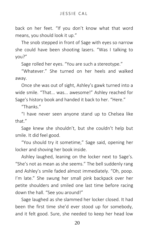back on her feet. "If you don't know what that word means, you should look it up."

The snob stepped in front of Sage with eyes so narrow she could have been shooting lasers. "Was I talking to you?"

Sage rolled her eyes. "You are such a stereotype."

"Whatever." She turned on her heels and walked away.

Once she was out of sight, Ashley's gawk turned into a wide smile. "That... was... awesome!" Ashley reached for Sage's history book and handed it back to her. "Here."

"Thanks."

"I have never seen anyone stand up to Chelsea like that"

Sage knew she shouldn't, but she couldn't help but smile. It did feel good.

"You should try it sometime," Sage said, opening her locker and shoving her book inside.

Ashley laughed, leaning on the locker next to Sage's. "She's not as mean as she seems." The bell suddenly rang and Ashley's smile faded almost immediately. "Oh, poop. I'm late." She swung her small pink backpack over her petite shoulders and smiled one last time before racing down the hall. "See you around!"

Sage laughed as she slammed her locker closed. It had been the first time she'd ever stood up for somebody, and it felt good. Sure, she needed to keep her head low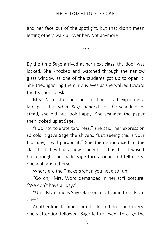and her face out of the spotlight, but that didn't mean letting others walk all over her. Not anymore.

\*\*\*

By the time Sage arrived at her next class, the door was locked. She knocked and watched through the narrow glass window as one of the students got up to open it. She tried ignoring the curious eyes as she walked toward the teacher's desk.

Mrs. Word stretched out her hand as if expecting a late pass, but when Sage handed her the schedule instead, she did not look happy. She scanned the paper then looked up at Sage.

"I do not tolerate tardiness," she said, her expression so cold it gave Sage the shivers. "But seeing this is your first day, I will pardon it." She then announced to the class that they had a new student, and as if that wasn't bad enough, she made Sage turn around and tell everyone a bit about herself.

Where are the Trackers when you need to run?

"Go on," Mrs. Word demanded in her stiff posture. "We don't have all day."

"Uh... My name is Sage Hansen and I came from Florida—"

Another knock came from the locked door and everyone's attention followed. Sage felt relieved. Through the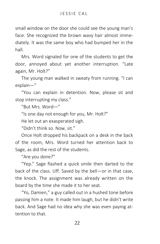small window on the door she could see the young man's face. She recognized the brown wavy hair almost immediately. It was the same boy who had bumped her in the hall.

Mrs. Word signaled for one of the students to get the door, annoyed about yet another interruption. "Late again, Mr. Holt?"

The young man walked in sweaty from running. "I can explain—"

"You can explain in detention. Now, please sit and stop interrupting my class."

"But Mrs. Word—"

"Is one day not enough for you, Mr. Holt?"

He let out an exasperated sigh.

"Didn't think so. Now, sit."

Once Holt dropped his backpack on a desk in the back of the room, Mrs. Word turned her attention back to Sage, as did the rest of the students.

"Are you done?"

"Yep." Sage flashed a quick smile then darted to the back of the class. Uff. Saved by the bell—or in that case, the knock. The assignment was already written on the board by the time she made it to her seat.

"Yo, Damien," a guy called out in a hushed tone before passing him a note. It made him laugh, but he didn't write back. And Sage had no idea why she was even paying attention to that.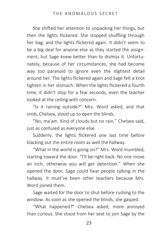She shifted her attention to unpacking her things, but then the lights flickered. She stopped shuffling through her bag, and the lights flickered again. It didn't seem to be a big deal for anyone else as they started the assignment, but Sage knew better than to dismiss it. Unfortunately, because of her circumstances, she had become way too paranoid to ignore even the slightest detail around her. The lights flickered again and Sage felt a knot tighten in her stomach. When the lights flickered a fourth time, it didn't stop for a few seconds, even the teacher looked at the ceiling with concern.

"Is it raining outside?" Mrs. Word asked, and that snob, Chelsea, stood up to open the blinds.

"No, ma'am. Kind of cloudy but no rain," Chelsea said, just as confused as everyone else.

Suddenly, the lights flickered one last time before blacking out the entire room as well the hallway.

"What in the world is going on?" Mrs. Word mumbled, starting toward the door. "I'll be right back. No one move an inch, otherwise you will get detention." When she opened the door, Sage could hear people talking in the hallway. It must've been other teachers because Mrs. Word joined them.

Sage waited for the door to shut before rushing to the window. As soon as she opened the blinds, she gasped.

"What happened?" Chelsea asked, more annoyed than curious. She stood from her seat to join Sage by the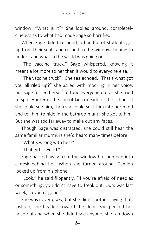window. "What is it?" She looked around, completely clueless as to what had made Sage so horrified.

When Sage didn't respond, a handful of students got up from their seats and rushed to the window, hoping to understand what in the world was going on.

"The vaccine truck," Sage whispered, knowing it meant a lot more to her than it would to everyone else.

"The vaccine truck?" Chelsea echoed. "That's what got you all riled up?" she asked with mocking in her voice, but Sage forced herself to tune everyone out as she tried to spot Hunter in the line of kids outside of the school. If she could see him, then she could suck him into her mind and tell him to hide in the bathroom until she got to him. But she was too far away to make out any faces.

Though Sage was distracted, she could still hear the same familiar murmurs she'd heard many times before.

"What's wrong with her?"

"That girl is weird."

Sage backed away from the window but bumped into a desk behind her. When she turned around, Damien looked up from his phone.

"Look," he said flippantly, "if you're afraid of needles or something, you don't have to freak out. Ours was last week, so you're good."

She was never *good*, but she didn't bother saying that. Instead, she headed toward the door. She peeked her head out and when she didn't see anyone, she ran down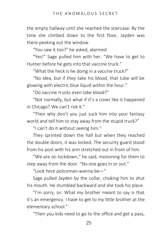the empty hallway until she reached the staircase. By the time she climbed down to the first floor, Jayden was there peeking out the window.

"You saw it too?" he asked, alarmed.

"Yes!" Sage pulled him with her. "We have to get to Hunter before he gets into that vaccine truck."

"What the heck is he doing in a vaccine truck?"

"No idea, but if they take his blood, that tube will be glowing with electric blue liquid within the hour."

"Do vaccine trucks even take blood?"

"Not normally, but what if it's a cover like it happened in Chicago? We can't risk it."

"Then why don't you just suck him into your fantasy world and tell him to stay away from the stupid truck?"

"I can't do it without seeing him."

They sprinted down the hall but when they reached the double doors, it was locked. The security guard stood from his post with his arm stretched out in front of him.

"We are on lockdown," he said, motioning for them to step away from the door. "No one goes in or out."

"Look here policeman-wanna-be—"

Sage pulled Jayden by the collar, choking him to shut his mouth. He stumbled backward and she took his place.

"I'm sorry, sir. What my brother meant to say is that it's an emergency. I have to get to my little brother at the elementary school."

"Then you kids need to go to the office and get a pass,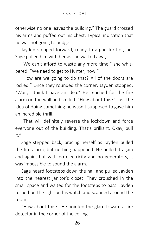otherwise no one leaves the building." The guard crossed his arms and puffed out his chest. Typical indication that he was not going to budge.

Jayden stepped forward, ready to argue further, but Sage pulled him with her as she walked away.

"We can't afford to waste any more time," she whispered. "We need to get to Hunter, now."

"How are we going to do that? All of the doors are locked." Once they rounded the corner, Jayden stopped. "Wait, I think I have an idea." He reached for the fire alarm on the wall and smiled. "How about this?" Just the idea of doing something he wasn't supposed to gave him an incredible thrill.

"That will definitely reverse the lockdown and force everyone out of the building. That's brilliant. Okay, pull it."

Sage stepped back, bracing herself as Jayden pulled the fire alarm, but nothing happened. He pulled it again and again, but with no electricity and no generators, it was impossible to sound the alarm.

Sage heard footsteps down the hall and pulled Jayden into the nearest janitor's closet. They crouched in the small space and waited for the footsteps to pass. Jayden turned on the light on his watch and scanned around the room.

"How about this?" He pointed the glare toward a fire detector in the corner of the ceiling.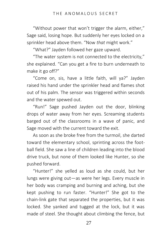"Without power that won't trigger the alarm, either," Sage said, losing hope. But suddenly her eyes locked on a sprinkler head above them. "Now *that* might work."

"What?" Jayden followed her gaze upward.

"The water system is not connected to the electricity," she explained. "Can you get a fire to burn underneath to make it go off?"

"Come on, sis, have a little faith, will ya?" Jayden raised his hand under the sprinkler head and flames shot out of his palm. The sensor was triggered within seconds and the water spewed out.

"Run!" Sage pushed Jayden out the door, blinking drops of water away from her eyes. Screaming students barged out of the classrooms in a wave of panic, and Sage moved with the current toward the exit.

As soon as she broke free from the turmoil, she darted toward the elementary school, sprinting across the football field. She saw a line of children leading into the blood drive truck, but none of them looked like Hunter, so she pushed forward.

"Hunter!" she yelled as loud as she could, but her lungs were giving out—as were her legs. Every muscle in her body was cramping and burning and aching, but she kept pushing to run faster. "Hunter!" She got to the chain-link gate that separated the properties, but it was locked. She yanked and tugged at the lock, but it was made of steel. She thought about climbing the fence, but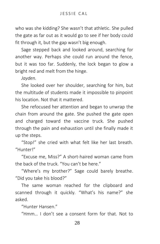who was she kidding? She wasn't that athletic. She pulled the gate as far out as it would go to see if her body could fit through it, but the gap wasn't big enough.

Sage stepped back and looked around, searching for another way. Perhaps she could run around the fence, but it was too far. Suddenly, the lock began to glow a bright red and melt from the hinge.

*Jayden.*

She looked over her shoulder, searching for him, but the multitude of students made it impossible to pinpoint his location. Not that it mattered.

She refocused her attention and began to unwrap the chain from around the gate. She pushed the gate open and charged toward the vaccine truck. She pushed through the pain and exhaustion until she finally made it up the steps.

"Stop!" she cried with what felt like her last breath. "Hunter!"

"Excuse me, Miss?" A short-haired woman came from the back of the truck. "You can't be here."

"Where's my brother?" Sage could barely breathe. "Did you take his blood?"

The same woman reached for the clipboard and scanned through it quickly. "What's his name?" she asked.

"Hunter Hansen."

"Hmm… I don't see a consent form for that. Not to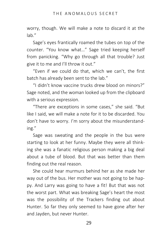worry, though. We will make a note to discard it at the lab."

Sage's eyes frantically roamed the tubes on top of the counter. "You know what…" Sage tried keeping herself from panicking. "Why go through all that trouble? Just give it to me and I'll throw it out."

"Even if we could do that, which we can't, the first batch has already been sent to the lab."

"I didn't know vaccine trucks drew blood on minors?" Sage noted, and the woman looked up from the clipboard with a serious expression.

"There are exceptions in some cases," she said. "But like I said, we will make a note for it to be discarded. You don't have to worry. I'm sorry about the misunderstanding."

Sage was sweating and the people in the bus were starting to look at her funny. Maybe they were all thinking she was a fanatic religious person making a big deal about a tube of blood. But that was better than them finding out the real reason.

She could hear murmurs behind her as she made her way out of the bus. Her mother was not going to be happy. And Larry was going to have a fit! But that was not the worst part. What was breaking Sage's heart the most was the possibility of the Trackers finding out about Hunter. So far they only seemed to have gone after her and Jayden, but never Hunter.